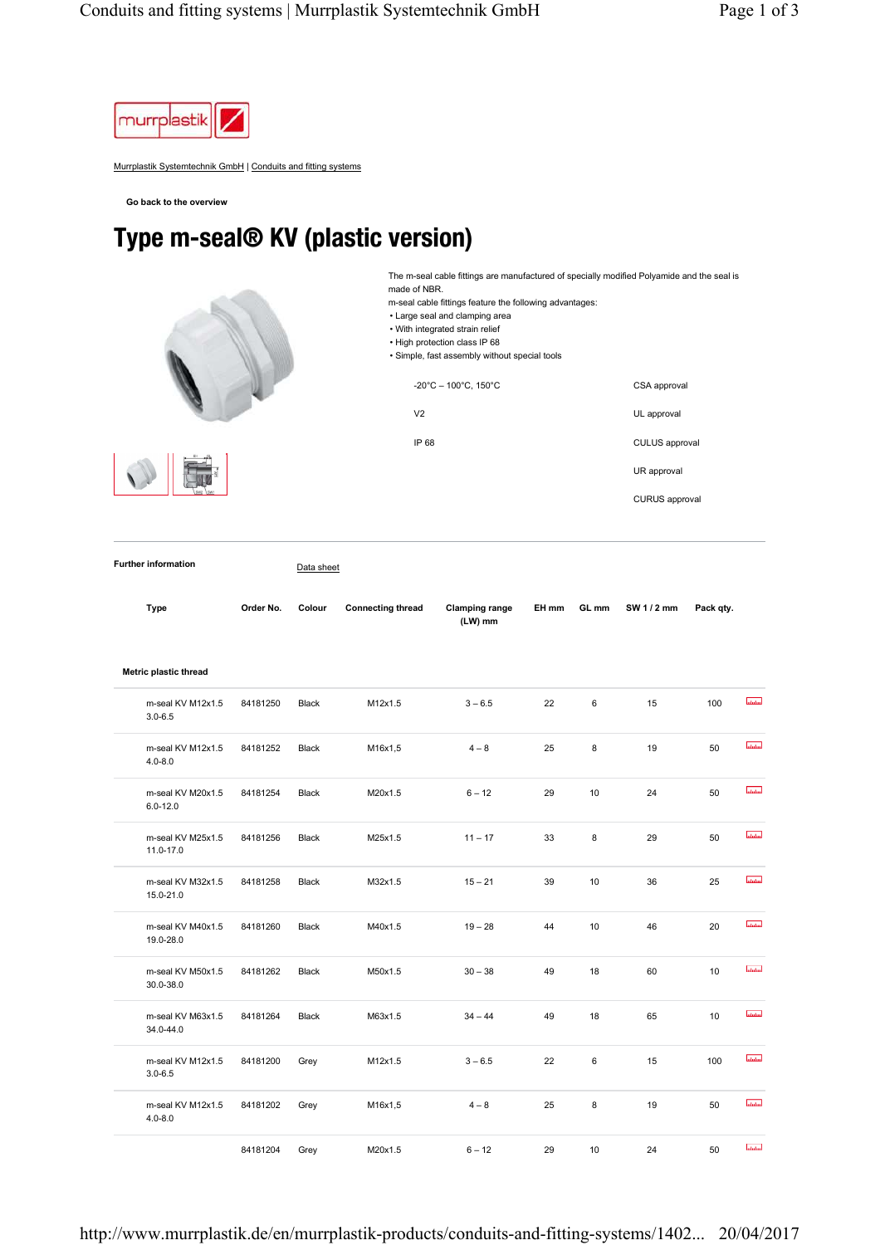

Murrplastik Systemtechnik GmbH | Conduits and fitting systems

**Go back to the overview**

## Type m-seal® KV (plastic version)

made of NBR.

• Large seal and clamping area



| . With integrated strain relief<br>. High protection class IP 68<br>• Simple, fast assembly without special tools |                       |
|-------------------------------------------------------------------------------------------------------------------|-----------------------|
| $-20^{\circ}$ C - 100 $^{\circ}$ C. 150 $^{\circ}$ C                                                              | CSA approval          |
| V <sub>2</sub>                                                                                                    | UL approval           |
| IP 68                                                                                                             | <b>CULUS</b> approval |
|                                                                                                                   | UR approval           |
|                                                                                                                   | CURUS approval        |

The m-seal cable fittings are manufactured of specially modified Polyamide and the seal is

m-seal cable fittings feature the following advantages:

**Further information** Data sheet

| <b>Type</b>                       | Order No. | Colour       | <b>Connecting thread</b> | <b>Clamping range</b><br>(LW) mm | EH mm | GL mm | SW 1 / 2 mm | Pack qty. |                  |
|-----------------------------------|-----------|--------------|--------------------------|----------------------------------|-------|-------|-------------|-----------|------------------|
| Metric plastic thread             |           |              |                          |                                  |       |       |             |           |                  |
| m-seal KV M12x1.5<br>$3.0 - 6.5$  | 84181250  | <b>Black</b> | M12x1.5                  | $3 - 6.5$                        | 22    | 6     | 15          | 100       | <b>Infalter</b>  |
| m-seal KV M12x1.5<br>$4.0 - 8.0$  | 84181252  | Black        | M16x1,5                  | $4 - 8$                          | 25    | 8     | 19          | 50        | <b>atatal</b>    |
| m-seal KV M20x1.5<br>$6.0 - 12.0$ | 84181254  | <b>Black</b> | M20x1.5                  | $6 - 12$                         | 29    | 10    | 24          | 50        | <b>atatas</b>    |
| m-seal KV M25x1.5<br>11.0-17.0    | 84181256  | <b>Black</b> | M25x1.5                  | $11 - 17$                        | 33    | 8     | 29          | 50        | <b>utubu</b>     |
| m-seal KV M32x1.5<br>15.0-21.0    | 84181258  | <b>Black</b> | M32x1.5                  | $15 - 21$                        | 39    | 10    | 36          | 25        | <b>ulului</b>    |
| m-seal KV M40x1.5<br>19.0-28.0    | 84181260  | <b>Black</b> | M40x1.5                  | $19 - 28$                        | 44    | 10    | 46          | 20        | سلبيلينا         |
| m-seal KV M50x1.5<br>30.0-38.0    | 84181262  | <b>Black</b> | M50x1.5                  | $30 - 38$                        | 49    | 18    | 60          | 10        | latatad          |
| m-seal KV M63x1.5<br>34.0-44.0    | 84181264  | <b>Black</b> | M63x1.5                  | $34 - 44$                        | 49    | 18    | 65          | 10        | <b>utului</b>    |
| m-seal KV M12x1.5<br>$3.0 - 6.5$  | 84181200  | Grey         | M12x1.5                  | $3 - 6.5$                        | 22    | 6     | 15          | 100       | abatan.          |
| m-seal KV M12x1.5<br>$4.0 - 8.0$  | 84181202  | Grey         | M16x1,5                  | $4 - 8$                          | 25    | 8     | 19          | 50        | <b>Intuition</b> |
|                                   | 84181204  | Grey         | M20x1.5                  | $6 - 12$                         | 29    | 10    | 24          | 50        | <b>Intuitud</b>  |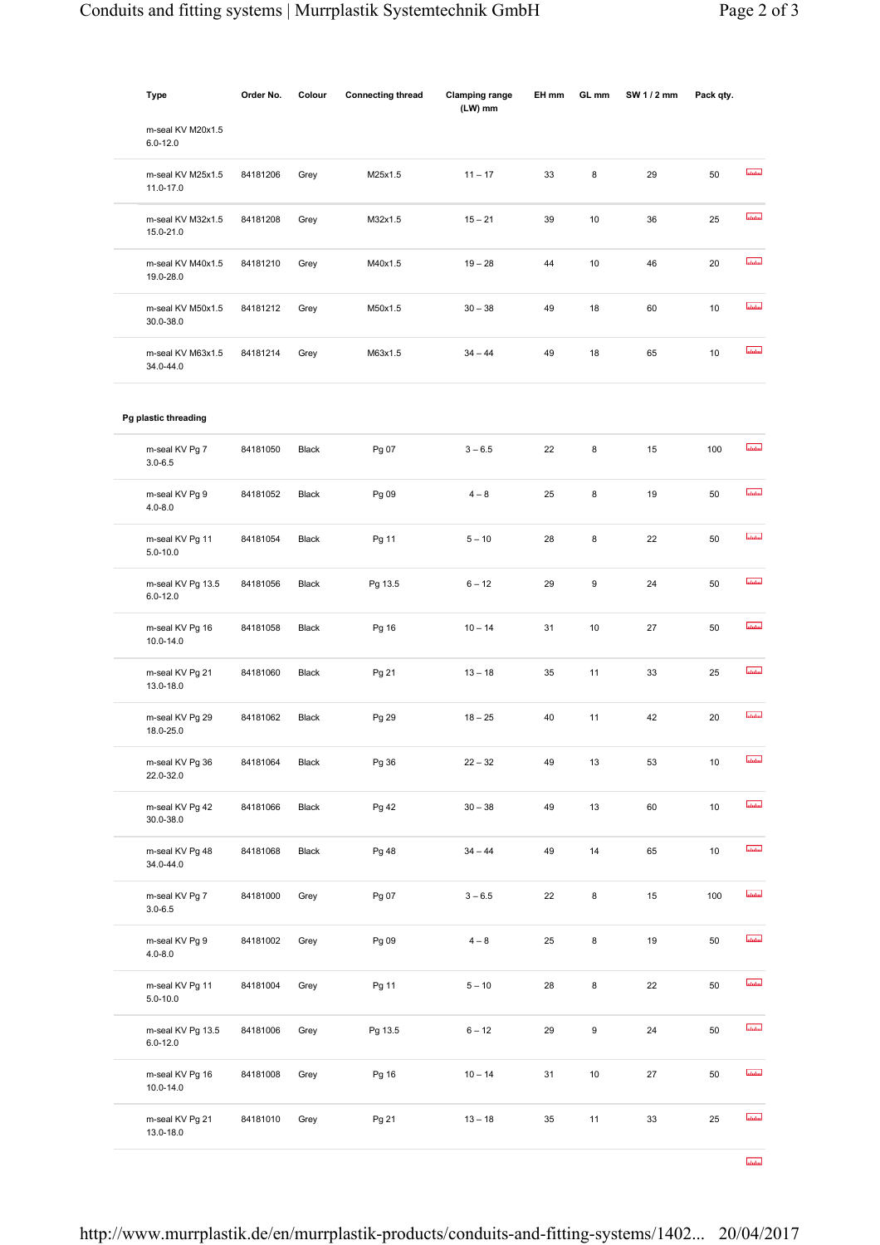| Type                              | Order No. | Colour       | <b>Connecting thread</b> | <b>Clamping range</b><br>(LW) mm | EH mm | GL mm            | SW 1 / 2 mm | Pack qty. |                  |
|-----------------------------------|-----------|--------------|--------------------------|----------------------------------|-------|------------------|-------------|-----------|------------------|
| m-seal KV M20x1.5<br>$6.0 - 12.0$ |           |              |                          |                                  |       |                  |             |           |                  |
| m-seal KV M25x1.5<br>11.0-17.0    | 84181206  | Grey         | M25x1.5                  | $11 - 17$                        | 33    | 8                | 29          | 50        | ulului           |
| m-seal KV M32x1.5<br>15.0-21.0    | 84181208  | Grey         | M32x1.5                  | $15 - 21$                        | 39    | 10               | 36          | 25        | استستسا          |
| m-seal KV M40x1.5<br>19.0-28.0    | 84181210  | Grey         | M40x1.5                  | $19 - 28$                        | 44    | 10               | 46          | 20        | <b>Industria</b> |
| m-seal KV M50x1.5<br>30.0-38.0    | 84181212  | Grey         | M50x1.5                  | $30 - 38$                        | 49    | 18               | 60          | 10        | أسلسلسا          |
| m-seal KV M63x1.5<br>34.0-44.0    | 84181214  | Grey         | M63x1.5                  | $34 - 44$                        | 49    | 18               | 65          | 10        | ubilin           |
| Pg plastic threading              |           |              |                          |                                  |       |                  |             |           |                  |
| m-seal KV Pg 7<br>$3.0 - 6.5$     | 84181050  | Black        | Pg 07                    | $3 - 6.5$                        | 22    | 8                | 15          | 100       | <b>utubu</b>     |
| m-seal KV Pg 9<br>$4.0 - 8.0$     | 84181052  | Black        | Pg 09                    | $4 - 8$                          | 25    | 8                | 19          | 50        | استستسا          |
| m-seal KV Pg 11<br>$5.0 - 10.0$   | 84181054  | Black        | Pg 11                    | $5 - 10$                         | 28    | 8                | 22          | 50        | أستستسأ          |
| m-seal KV Pg 13.5<br>$6.0 - 12.0$ | 84181056  | <b>Black</b> | Pg 13.5                  | $6 - 12$                         | 29    | $\boldsymbol{9}$ | 24          | 50        | أسلسلسا          |
| m-seal KV Pg 16<br>10.0-14.0      | 84181058  | Black        | Pg 16                    | $10 - 14$                        | 31    | 10               | 27          | 50        | ulului           |
| m-seal KV Pg 21<br>13.0-18.0      | 84181060  | Black        | Pg 21                    | $13 - 18$                        | 35    | 11               | 33          | 25        | أسلسلسا          |
| m-seal KV Pg 29<br>18.0-25.0      | 84181062  | <b>Black</b> | Pg 29                    | $18 - 25$                        | 40    | 11               | 42          | 20        | <b>ulului</b>    |
| m-seal KV Pg 36<br>22.0-32.0      | 84181064  | Black        | Pg 36                    | $22 - 32$                        | 49    | 13               | 53          | 10        | ululm            |
| m-seal KV Pg 42<br>30.0-38.0      | 84181066  | Black        | Pg 42                    | $30 - 38$                        | 49    | 13               | 60          | 10        | ulului           |
| m-seal KV Pg 48<br>34.0-44.0      | 84181068  | Black        | Pg 48                    | $34 - 44$                        | 49    | 14               | 65          | 10        | ubdur            |
| m-seal KV Pg 7<br>$3.0 - 6.5$     | 84181000  | Grey         | Pg 07                    | $3 - 6.5$                        | 22    | 8                | 15          | 100       | ستستبيأ          |
| m-seal KV Pg 9<br>$4.0 - 8.0$     | 84181002  | Grey         | Pg 09                    | $4 - 8$                          | 25    | 8                | 19          | 50        | ulului           |
| m-seal KV Pg 11<br>$5.0 - 10.0$   | 84181004  | Grey         | Pg 11                    | $5 - 10$                         | 28    | 8                | 22          | 50        | <b>ulului</b>    |
| m-seal KV Pg 13.5<br>$6.0 - 12.0$ | 84181006  | Grey         | Pg 13.5                  | $6 - 12$                         | 29    | 9                | 24          | 50        | <b>utului</b>    |
| m-seal KV Pg 16<br>10.0-14.0      | 84181008  | Grey         | Pg 16                    | $10 - 14$                        | 31    | 10               | 27          | 50        | ulului           |
| m-seal KV Pg 21<br>13.0-18.0      | 84181010  | Grey         | Pg 21                    | $13 - 18$                        | 35    | 11               | 33          | 25        | ulului           |